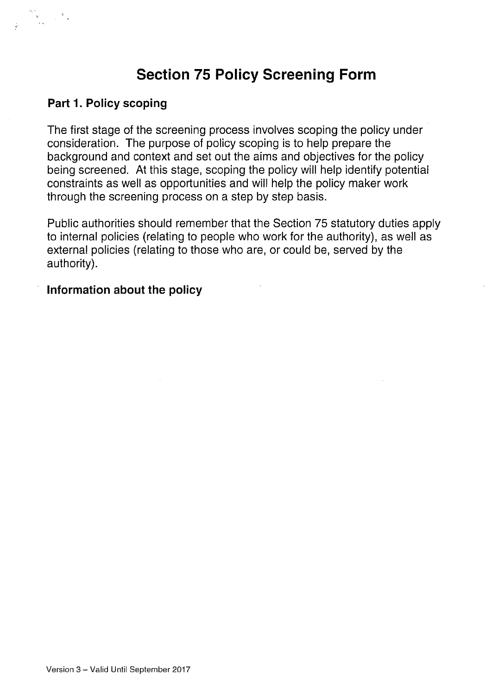# Section 75 Policy Screening Form

#### Part 1. Policy scoping

The first stage of the screening process involves scoping the policy under consideration. The purpose of policy scoping is to help prepare the background and context and set out the aims and objectives for the policy being screened. At this stage, scoping the policy will help identify potential constraints as well as opportunities and will help the policy maker work through the screening process on a step by step basis.

Public authorities should remember that the Section 75 statutory duties apply to internal policies (relating to people who work for the authority), as well as external policies (relating to those who are, or could be, served by the authority).

#### Information about the policy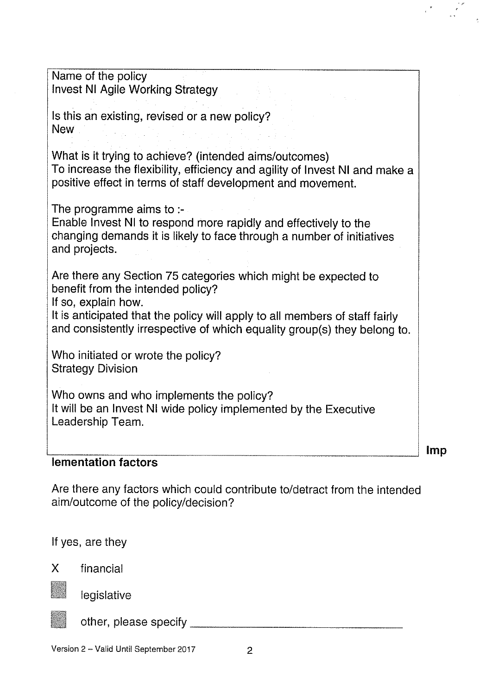Name of the policy Invest NI Agile Working Strategy Is this an existing, revised or <sup>a</sup> new policy? New What is it trying to achieve? (intended aims/outcomes) To increase the flexibility, efficiency and agility of Invest NI and make <sup>a</sup> positive effect in terms of staff development and movement. The programme aims to :- Enable Invest NI to respond more rapidly and effectively to the changing demands it is likely to face through <sup>a</sup> number of initiatives and projects. Are there any Section 75 categories which might be expected to benefit from the intended policy? If so, explain how. It is anticipated that the policy will apply to all members of staff fairly and consistently irrespective of which equality group(s) they belong to. Who initiated or wrote the policy? Strategy Division Who owns and who implements the policy? It will be an Invest NI wide policy implemented by the Executive Leadership Team.

#### lementation factors

Are there any factors which could contribute to/detract from the intended aim/outcome of the policy/decision?

Imp

If yes, are they

X financial



legislative



other, please specify

Version 2 - Valid Until September 2017 2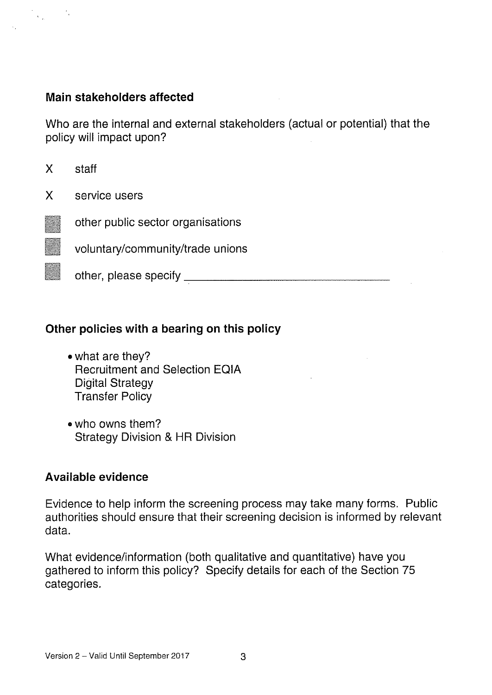#### Main stakeholders affected

 $\mathcal{A}^{\text{max}}_{\text{max}}$ 

Who are the internal and external stakeholders (actual or potential) that the policy will impact upon?

X staff X service users other public sector organisations voluntary/community/trade unions other, please specify

#### Other policies with a bearing on this policy

- what are they? Recruitment and Selection EQIA Digital Strategy Transfer Policy
- who owns them? Strategy Division & HR Division

#### Available evidence

Evidence to help inform the screening process may take many forms. Public authorities should ensure that their screening decision is informed by relevant data.

What evidence/information (both qualitative and quantitative) have you gathered to inform this policy? Specify details for each of the Section 75 categories.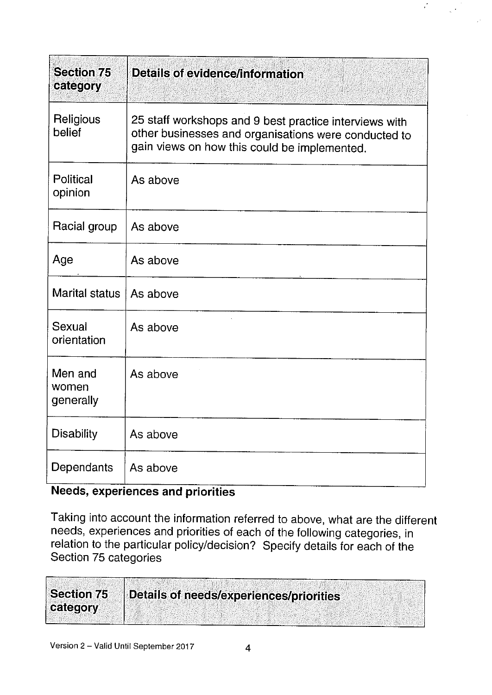| <b>Section 75</b><br>category | <b>Details of evidence/information</b>                                                                                                                         |
|-------------------------------|----------------------------------------------------------------------------------------------------------------------------------------------------------------|
| Religious<br>belief           | 25 staff workshops and 9 best practice interviews with<br>other businesses and organisations were conducted to<br>gain views on how this could be implemented. |
| Political<br>opinion          | As above                                                                                                                                                       |
| Racial group                  | As above                                                                                                                                                       |
| Age                           | As above                                                                                                                                                       |
| Marital status                | As above                                                                                                                                                       |
| Sexual<br>orientation         | As above                                                                                                                                                       |
| Men and<br>women<br>generally | As above                                                                                                                                                       |
| <b>Disability</b>             | As above                                                                                                                                                       |
| Dependants                    | As above                                                                                                                                                       |

 $\mathcal{C}$ 

#### Needs, experiences and priorities

Taking into account the information referred to above, what are the different needs, experiences and priorities of each of the following categories, in relation to the particular policy/decision? Specify details for each of the Section 75 categories

| <b>Section 75</b> | Details of needs/experiences/priorities |
|-------------------|-----------------------------------------|
| category          |                                         |
|                   |                                         |
|                   |                                         |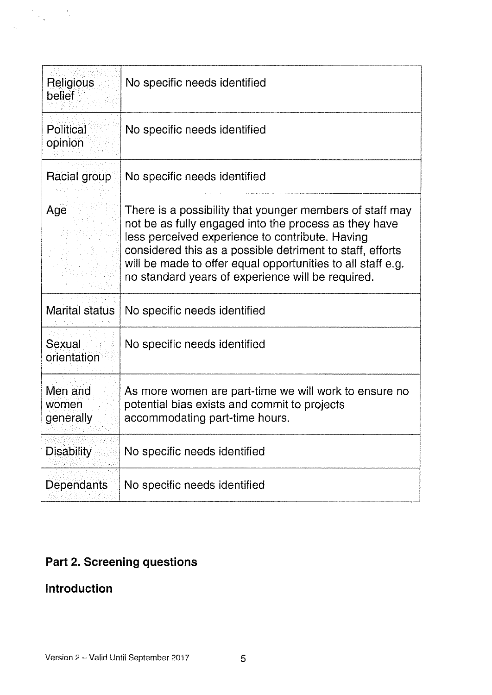| <b>Religious</b><br>belief    | No specific needs identified                                                                                                                                                                                                                                                                                                                          |
|-------------------------------|-------------------------------------------------------------------------------------------------------------------------------------------------------------------------------------------------------------------------------------------------------------------------------------------------------------------------------------------------------|
| Political<br>opinion          | No specific needs identified                                                                                                                                                                                                                                                                                                                          |
| Racial group                  | No specific needs identified                                                                                                                                                                                                                                                                                                                          |
| Age                           | There is a possibility that younger members of staff may<br>not be as fully engaged into the process as they have<br>less perceived experience to contribute. Having<br>considered this as a possible detriment to staff, efforts<br>will be made to offer equal opportunities to all staff e.g.<br>no standard years of experience will be required. |
| <b>Marital status</b>         | No specific needs identified                                                                                                                                                                                                                                                                                                                          |
| Sexual<br>orientation         | No specific needs identified                                                                                                                                                                                                                                                                                                                          |
| Men and<br>women<br>generally | As more women are part-time we will work to ensure no<br>potential bias exists and commit to projects<br>accommodating part-time hours.                                                                                                                                                                                                               |
| <b>Disability</b>             | No specific needs identified                                                                                                                                                                                                                                                                                                                          |
| Dependants                    | No specific needs identified                                                                                                                                                                                                                                                                                                                          |

## Part 2. Screening questions

## Introduction

 $\begin{aligned} \mathcal{S}_{\text{max}}(\mathbf{S}) = \mathcal{S}_{\text{max}}(\mathbf{S}) \\ \mathcal{S}_{\text{max}}(\mathbf{S}) = \mathcal{S}_{\text{max}}(\mathbf{S}) \end{aligned}$ 

 $\bar{\mathcal{A}}_1$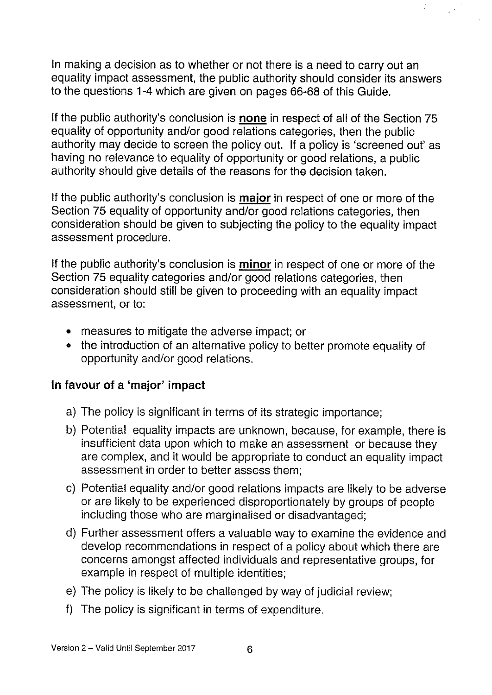In making a decision as to whether or not there is a need to carry out an equality impact assessment, the public authority should consider its answers to the questions 1-4 which are given on pages 66-68 of this Guide.

If the public authority's conclusion is none in respect of all of the Section 75 equality of opportunity and/or good relations categories, then the public authority may decide to screen the policy out. If a policy is 'screened out' as having no relevance to equality of opportunity or good relations, a public authority should give details of the reasons for the decision taken.

If the public authority's conclusion is **major** in respect of one or more of the Section 75 equality of opportunity and/or good relations categories, then consideration should be given to subjecting the policy to the equality impact assessment procedure.

If the public authority's conclusion is minor in respect of one or more of the Section 75 equality categories and/or good relations categories, then consideration should still be given to proceeding with an equality impact assessment, or to:

- measures to mitigate the adverse impact; or
- the introduction of an alternative policy to better promote equality of opportunity and/or good relations.

#### In favour of a 'major' impact

- a) The policy is significant in terms of its strategic importance;
- b) Potential equality impacts are unknown, because, for example, there is insufficient data upon which to make an assessment or because they are complex, and it would be appropriate to conduct an equality impact assessment in order to better assess them;
- c) Potential equality and/or good relations impacts are likely to be adverse or are likely to be experienced disproportionately by groups of people including those who are marginalised or disadvantaged;
- d) Further assessment offers a valuable way to examine the evidence and develop recommendations in respect of a policy about which there are concerns amongst affected individuals and representative groups, for example in respect of multiple identities;
- e) The policy is likely to be challenged by way of judicial review;
- f) The policy is significant in terms of expenditure.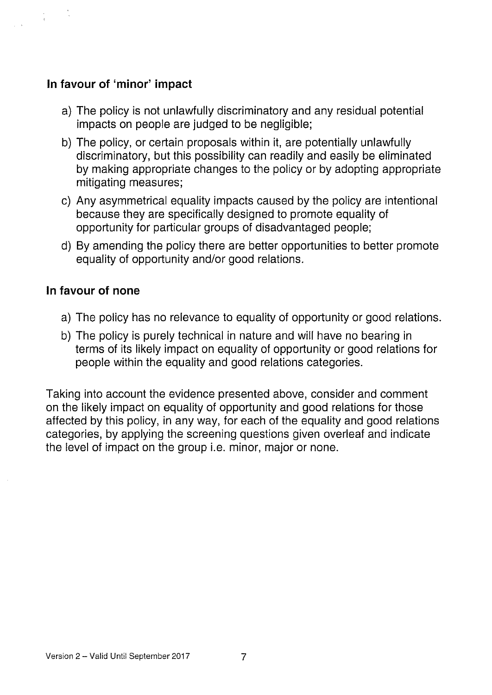#### In favour of 'minor' impact

- a) The policy is not unlawfully discriminatory and any residual potential impacts on people are judged to be negligible;
- b) The policy, or certain proposals within it, are potentially unlawfully discriminatory, but this possibility can readily and easily be eliminated by making appropriate changes to the policy or by adopting appropriate mitigating measures;
- c) Any asymmetrical equality impacts caused by the policy are intentional because they are specifically designed to promote equality of opportunity for particular groups of disadvantaged people;
- d) By amending the policy there are better opportunities to better promote equality of opportunity and/or good relations.

#### In favour of none

- a) The policy has no relevance to equality of opportunity or good relations.
- b) The policy is purely technical in nature and will have no bearing in terms of its likely impact on equality of opportunity or good relations for people within the equality and good relations categories.

Taking into account the evidence presented above, consider and comment on the likely impact on equality of opportunity and good relations for those affected by this policy, in any way, for each of the equality and good relations categories, by applying the screening questions given overleaf and indicate the level of impact on the group i.e. minor, major or none.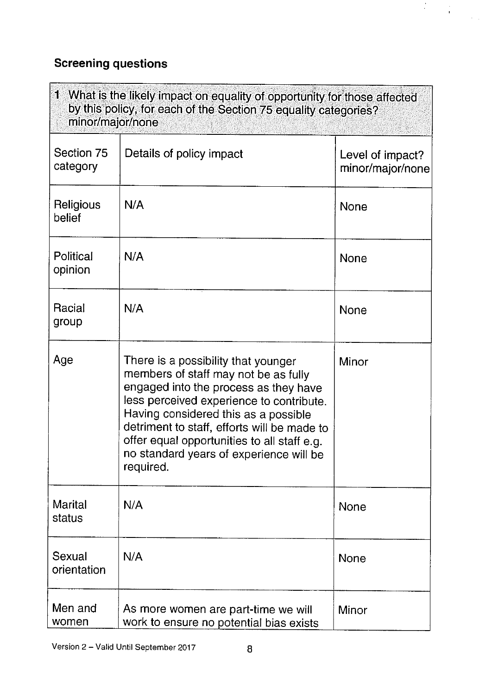# Screening questions

| 1 What is the likely impact on equality of opportunity for those affected<br>by this policy, for each of the Section 75 equality categories?<br>minor/major/none |                                                                                                                                                                                                                                                                                                                                                                |                                      |  |
|------------------------------------------------------------------------------------------------------------------------------------------------------------------|----------------------------------------------------------------------------------------------------------------------------------------------------------------------------------------------------------------------------------------------------------------------------------------------------------------------------------------------------------------|--------------------------------------|--|
| Section 75<br>category                                                                                                                                           | Details of policy impact                                                                                                                                                                                                                                                                                                                                       | Level of impact?<br>minor/major/none |  |
| Religious<br>belief                                                                                                                                              | N/A                                                                                                                                                                                                                                                                                                                                                            | None                                 |  |
| Political<br>opinion                                                                                                                                             | N/A                                                                                                                                                                                                                                                                                                                                                            | <b>None</b>                          |  |
| Racial<br>group                                                                                                                                                  | N/A                                                                                                                                                                                                                                                                                                                                                            | <b>None</b>                          |  |
| Age                                                                                                                                                              | There is a possibility that younger<br>members of staff may not be as fully<br>engaged into the process as they have<br>less perceived experience to contribute.<br>Having considered this as a possible<br>detriment to staff, efforts will be made to<br>offer equal opportunities to all staff e.g.<br>no standard years of experience will be<br>required. | Minor                                |  |
| <b>Marital</b><br>status                                                                                                                                         | N/A                                                                                                                                                                                                                                                                                                                                                            | <b>None</b>                          |  |
| Sexual<br>orientation                                                                                                                                            | N/A                                                                                                                                                                                                                                                                                                                                                            | <b>None</b>                          |  |
| Men and<br>women                                                                                                                                                 | As more women are part-time we will<br>work to ensure no potential bias exists                                                                                                                                                                                                                                                                                 | Minor                                |  |

 $\label{eq:2} \begin{split} \mathcal{L}_{\text{max}}(\mathbf{r}) & = \frac{1}{2} \sum_{i=1}^{N} \mathcal{L}_{\text{max}}(\mathbf{r}) \\ & = \frac{1}{2} \sum_{i=1}^{N} \mathcal{L}_{\text{max}}(\mathbf{r}) \mathcal{L}_{\text{max}}(\mathbf{r}) \\ & = \frac{1}{2} \sum_{i=1}^{N} \mathcal{L}_{\text{max}}(\mathbf{r}) \mathcal{L}_{\text{max}}(\mathbf{r}) \end{split}$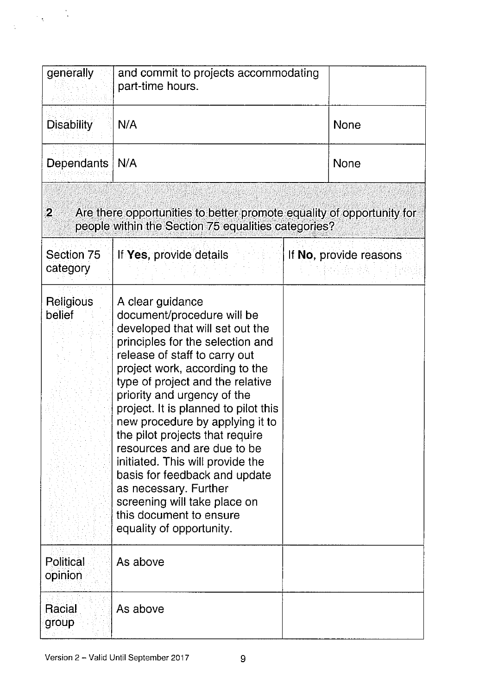| generally               | and commit to projects accommodating<br>part-time hours.                                                                                                                                                                                                                                                                                                                                                                                                                                                                                                                                      |  |                        |
|-------------------------|-----------------------------------------------------------------------------------------------------------------------------------------------------------------------------------------------------------------------------------------------------------------------------------------------------------------------------------------------------------------------------------------------------------------------------------------------------------------------------------------------------------------------------------------------------------------------------------------------|--|------------------------|
| <b>Disability</b>       | N/A                                                                                                                                                                                                                                                                                                                                                                                                                                                                                                                                                                                           |  | <b>None</b>            |
| <b>Dependants</b>       | N/A                                                                                                                                                                                                                                                                                                                                                                                                                                                                                                                                                                                           |  | <b>None</b>            |
| $\overline{\mathbf{2}}$ | Are there opportunities to better promote equality of opportunity for<br>people within the Section 75 equalities categories?                                                                                                                                                                                                                                                                                                                                                                                                                                                                  |  |                        |
| Section 75<br>category  | If Yes, provide details                                                                                                                                                                                                                                                                                                                                                                                                                                                                                                                                                                       |  | If No, provide reasons |
| Religious<br>belief     | A clear guidance<br>document/procedure will be<br>developed that will set out the<br>principles for the selection and<br>release of staff to carry out<br>project work, according to the<br>type of project and the relative<br>priority and urgency of the<br>project. It is planned to pilot this<br>new procedure by applying it to<br>the pilot projects that require<br>resources and are due to be<br>initiated. This will provide the<br>basis for feedback and update<br>as necessary. Further<br>screening will take place on<br>this document to ensure<br>equality of opportunity. |  |                        |
| Political<br>opinion    | As above                                                                                                                                                                                                                                                                                                                                                                                                                                                                                                                                                                                      |  |                        |
| Racial<br>group         | As above                                                                                                                                                                                                                                                                                                                                                                                                                                                                                                                                                                                      |  |                        |

 $\frac{1}{2}$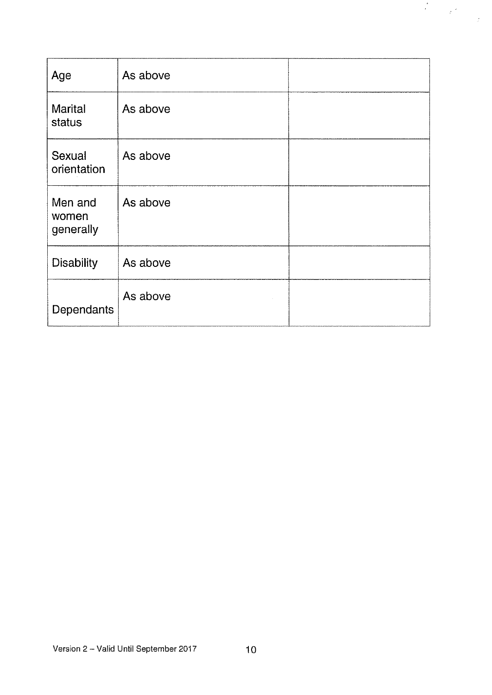| Age                           | As above |  |
|-------------------------------|----------|--|
| <b>Marital</b><br>status      | As above |  |
| Sexual<br>orientation         | As above |  |
| Men and<br>women<br>generally | As above |  |
| <b>Disability</b>             | As above |  |
| Dependants                    | As above |  |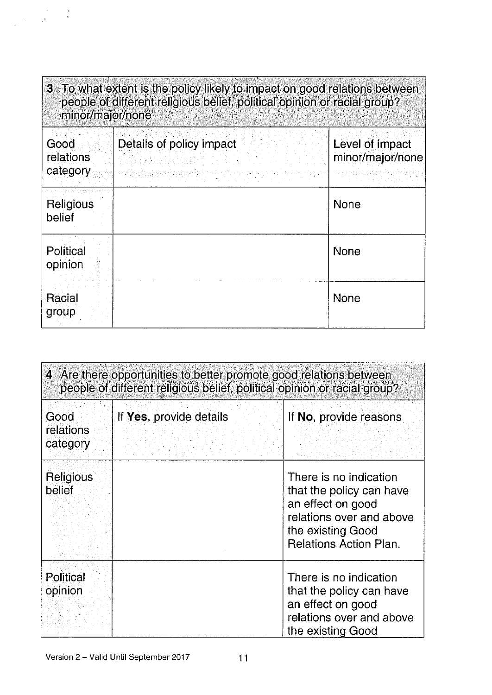| 3 To what extent is the policy likely to impact on good relations between<br>people of different religious belief, political opinion or racial group?<br>minor/major/none |                          |                                     |
|---------------------------------------------------------------------------------------------------------------------------------------------------------------------------|--------------------------|-------------------------------------|
| Good<br>relations<br>category                                                                                                                                             | Details of policy impact | Level of impact<br>minor/major/none |
| Religious<br>belief                                                                                                                                                       |                          | <b>None</b>                         |
| Political<br>opinion                                                                                                                                                      |                          | None                                |
| Racial<br>group                                                                                                                                                           |                          | <b>None</b>                         |

| 4 Are there opportunities to better promote good relations between<br>people of different religious belief, political opinion or racial group? |                         |                                                                                                                                                    |  |
|------------------------------------------------------------------------------------------------------------------------------------------------|-------------------------|----------------------------------------------------------------------------------------------------------------------------------------------------|--|
| Good<br>relations<br>category                                                                                                                  | If Yes, provide details | If No, provide reasons                                                                                                                             |  |
| Religious<br>belief                                                                                                                            |                         | There is no indication<br>that the policy can have<br>an effect on good<br>relations over and above<br>the existing Good<br>Relations Action Plan. |  |
| Political<br>opinion                                                                                                                           |                         | There is no indication<br>that the policy can have<br>an effect on good<br>relations over and above<br>the existing Good                           |  |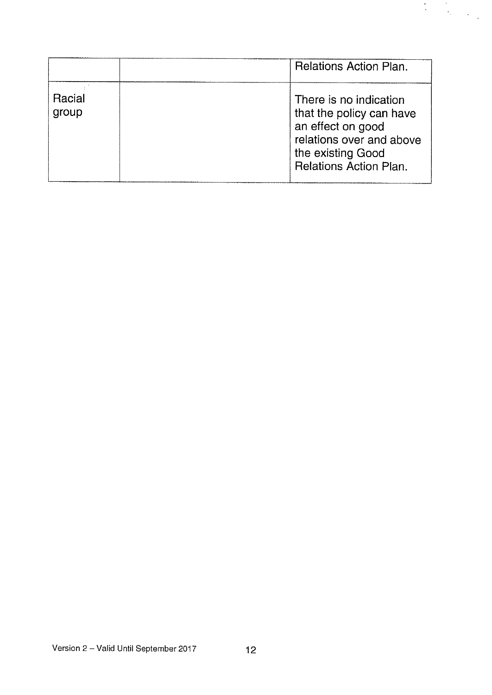|                 | Relations Action Plan.                                                                                                                                    |
|-----------------|-----------------------------------------------------------------------------------------------------------------------------------------------------------|
| Racial<br>group | There is no indication<br>that the policy can have<br>an effect on good<br>relations over and above<br>the existing Good<br><b>Relations Action Plan.</b> |

 $\begin{array}{ccccc} \mathbf{w} & & \mathbf{w} & \\ & & \mathbf{w} & \\ & & & \mathbf{w} & \\ & & & & \mathbf{w} & \\ & & & & \mathbf{w} & \\ & & & & & \mathbf{w} \\ \end{array}$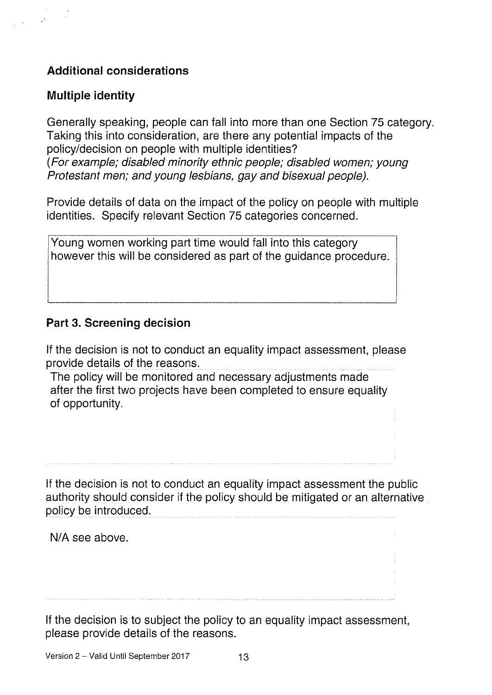### Additional considerations

#### Multiple identity

Generally speaking, people can fall into more than one Section 75 category. Taking this into consideration, are there any potential impacts of the policy/decision on people with multiple identities? (For example; disabled minority ethnic people; disabled women; young Protestant men; and young lesbians, gay and bisexual people).

Provide details of data on the impact of the policy on people with multiple identities. Specify relevant Section 75 categories concerned.

Young women working part time would fall into this category however this will be considered as part of the guidance procedure.

#### Part 3. Screening decision

If the decision is not to conduct an equality impact assessment, please provide details of the reasons.

The policy will be monitored and necessary adjustments made after the first two projects have been completed to ensure equality of opportunity.

If the decision is not to conduct an equality impact assessment the public authority should consider if the policy should be mitigated or an alternative policy be introduced.

N/A see above.

If the decision is to subject the policy to an equality impact assessment, please provide details of the reasons.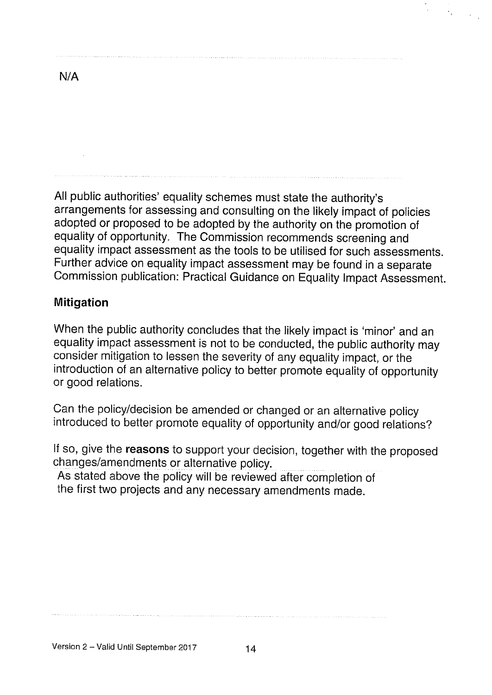N/A

All public authorities' equality schemes must state the authority's arrangements for assessing and consulting on the likely impact of policies adopted or proposed to be adopted by the authority on the promotion of equality of opportunity. The Commission recommends screening and equality impact assessment as the tools to be utilised for such assessments. Further advice on equality impact assessment may be found in <sup>a</sup> separate Commission publication: Practical Guidance on Equality Impact Assessment.

#### Mitigation

When the public authority concludes that the likely impact is 'minor' and an equality impact assessment is not to be conducted, the public authority may consider mitigation to lessen the severity of any equality impact, or the introduction of an alternative policy to better promote equality of opportunity or good relations.

Can the policy/decision be amended or changed or an alternative policy introduced to better promote equality of opportunity and/or good relations?

If so, give the reasons to support your decision, together with the proposed changes/amendments or alternative policy.

As stated above the policy will be reviewed after completion of the first two projects and any necessary amendments made.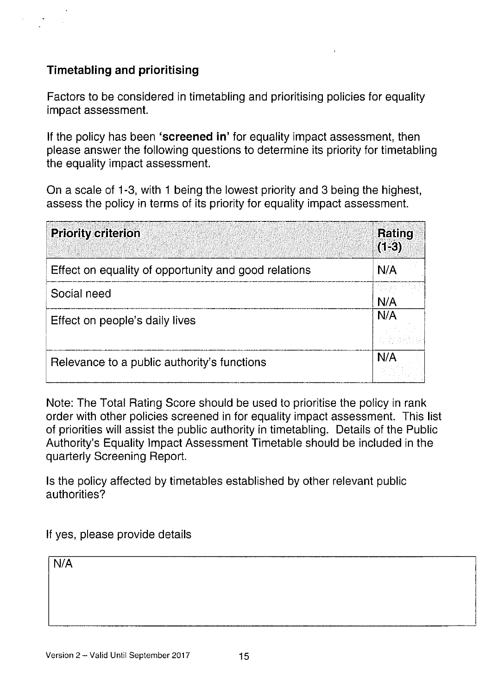### Timetabling and prioritising

Factors to be considered in timetabling and prioritising policies for equality impact assessment.

If the policy has been 'screened in' for equality impact assessment, then please answer the following questions to determine its priority for timetabling the equality impact assessment.

On a scale of 1-3, with <sup>1</sup> being the lowest priority and 3 being the highest, assess the policy in terms of its priority for equality impact assessment.

| <b>Priority criterion</b>                            | Rating<br>$(1-3)$ |
|------------------------------------------------------|-------------------|
| Effect on equality of opportunity and good relations | N/A               |
| Social need                                          | N/A               |
| Effect on people's daily lives                       | N/A               |
| Relevance to a public authority's functions          | N/A               |

Note: The Total Rating Score should be used to prioritise the policy in rank order with other policies screened in for equality impact assessment. This list of priorities will assist the public authority in timetabling. Details of the Public Authority's Equality Impact Assessment Timetable should be included in the quarterly Screening Report.

Is the policy affected by timetables established by other relevant public authorities?

If yes, please provide details

N/A